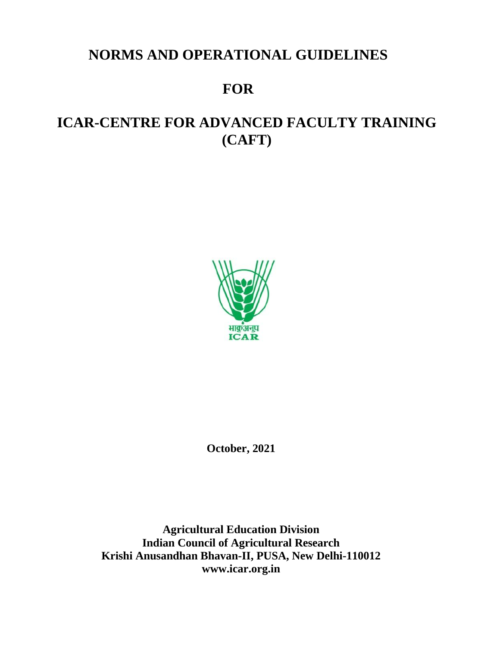## **NORMS AND OPERATIONAL GUIDELINES**

# **FOR**

# **ICAR-CENTRE FOR ADVANCED FACULTY TRAINING (CAFT)**



**October, 2021**

**Agricultural Education Division Indian Council of Agricultural Research Krishi Anusandhan Bhavan-II, PUSA, New Delhi-110012 www.icar.org.in**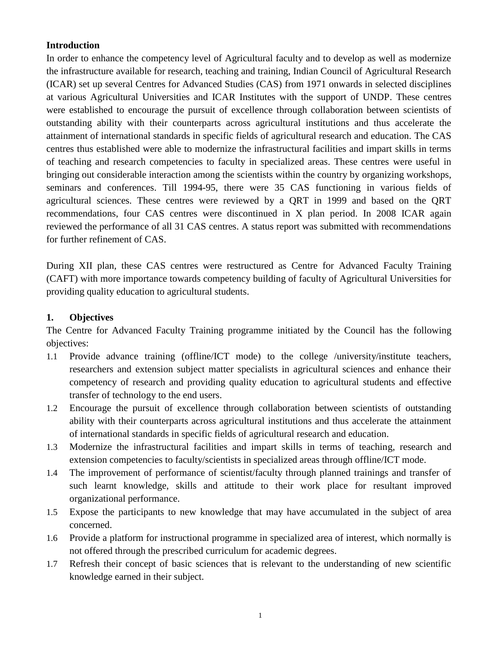#### **Introduction**

In order to enhance the competency level of Agricultural faculty and to develop as well as modernize the infrastructure available for research, teaching and training, Indian Council of Agricultural Research (ICAR) set up several Centres for Advanced Studies (CAS) from 1971 onwards in selected disciplines at various Agricultural Universities and ICAR Institutes with the support of UNDP. These centres were established to encourage the pursuit of excellence through collaboration between scientists of outstanding ability with their counterparts across agricultural institutions and thus accelerate the attainment of international standards in specific fields of agricultural research and education. The CAS centres thus established were able to modernize the infrastructural facilities and impart skills in terms of teaching and research competencies to faculty in specialized areas. These centres were useful in bringing out considerable interaction among the scientists within the country by organizing workshops, seminars and conferences. Till 1994-95, there were 35 CAS functioning in various fields of agricultural sciences. These centres were reviewed by a QRT in 1999 and based on the QRT recommendations, four CAS centres were discontinued in X plan period. In 2008 ICAR again reviewed the performance of all 31 CAS centres. A status report was submitted with recommendations for further refinement of CAS.

During XII plan, these CAS centres were restructured as Centre for Advanced Faculty Training (CAFT) with more importance towards competency building of faculty of Agricultural Universities for providing quality education to agricultural students.

#### **1. Objectives**

The Centre for Advanced Faculty Training programme initiated by the Council has the following objectives:

- 1.1 Provide advance training (offline/ICT mode) to the college /university/institute teachers, researchers and extension subject matter specialists in agricultural sciences and enhance their competency of research and providing quality education to agricultural students and effective transfer of technology to the end users.
- 1.2 Encourage the pursuit of excellence through collaboration between scientists of outstanding ability with their counterparts across agricultural institutions and thus accelerate the attainment of international standards in specific fields of agricultural research and education.
- 1.3 Modernize the infrastructural facilities and impart skills in terms of teaching, research and extension competencies to faculty/scientists in specialized areas through offline/ICT mode.
- 1.4 The improvement of performance of scientist/faculty through planned trainings and transfer of such learnt knowledge, skills and attitude to their work place for resultant improved organizational performance.
- 1.5 Expose the participants to new knowledge that may have accumulated in the subject of area concerned.
- 1.6 Provide a platform for instructional programme in specialized area of interest, which normally is not offered through the prescribed curriculum for academic degrees.
- 1.7 Refresh their concept of basic sciences that is relevant to the understanding of new scientific knowledge earned in their subject.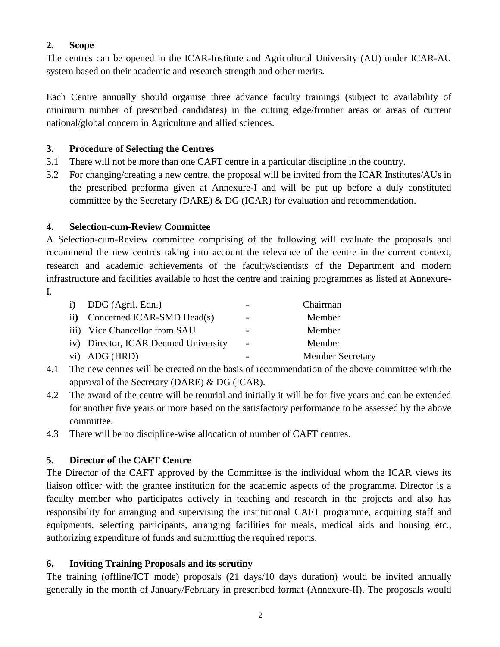## **2. Scope**

The centres can be opened in the ICAR-Institute and Agricultural University (AU) under ICAR-AU system based on their academic and research strength and other merits.

Each Centre annually should organise three advance faculty trainings (subject to availability of minimum number of prescribed candidates) in the cutting edge/frontier areas or areas of current national/global concern in Agriculture and allied sciences.

#### **3. Procedure of Selecting the Centres**

- 3.1 There will not be more than one CAFT centre in a particular discipline in the country.
- 3.2 For changing/creating a new centre, the proposal will be invited from the ICAR Institutes/AUs in the prescribed proforma given at Annexure-I and will be put up before a duly constituted committee by the Secretary (DARE) & DG (ICAR) for evaluation and recommendation.

## **4. Selection-cum-Review Committee**

A Selection-cum-Review committee comprising of the following will evaluate the proposals and recommend the new centres taking into account the relevance of the centre in the current context, research and academic achievements of the faculty/scientists of the Department and modern infrastructure and facilities available to host the centre and training programmes as listed at Annexure-I.

|                 | i) DDG (Agril. Edn.)                 | $\overline{\phantom{0}}$ | Chairman                |
|-----------------|--------------------------------------|--------------------------|-------------------------|
| $\overline{11}$ | Concerned ICAR-SMD Head(s)           | $\overline{\phantom{a}}$ | Member                  |
|                 | iii) Vice Chancellor from SAU        | $\overline{\phantom{0}}$ | Member                  |
|                 | iv) Director, ICAR Deemed University | $\overline{\phantom{a}}$ | Member                  |
|                 | vi) ADG (HRD)                        | $\overline{\phantom{0}}$ | <b>Member Secretary</b> |

- 4.1 The new centres will be created on the basis of recommendation of the above committee with the approval of the Secretary (DARE) & DG (ICAR).
- 4.2 The award of the centre will be tenurial and initially it will be for five years and can be extended for another five years or more based on the satisfactory performance to be assessed by the above committee.
- 4.3 There will be no discipline-wise allocation of number of CAFT centres.

## **5. Director of the CAFT Centre**

The Director of the CAFT approved by the Committee is the individual whom the ICAR views its liaison officer with the grantee institution for the academic aspects of the programme. Director is a faculty member who participates actively in teaching and research in the projects and also has responsibility for arranging and supervising the institutional CAFT programme, acquiring staff and equipments, selecting participants, arranging facilities for meals, medical aids and housing etc., authorizing expenditure of funds and submitting the required reports.

#### **6. Inviting Training Proposals and its scrutiny**

The training (offline/ICT mode) proposals (21 days/10 days duration) would be invited annually generally in the month of January/February in prescribed format (Annexure-II). The proposals would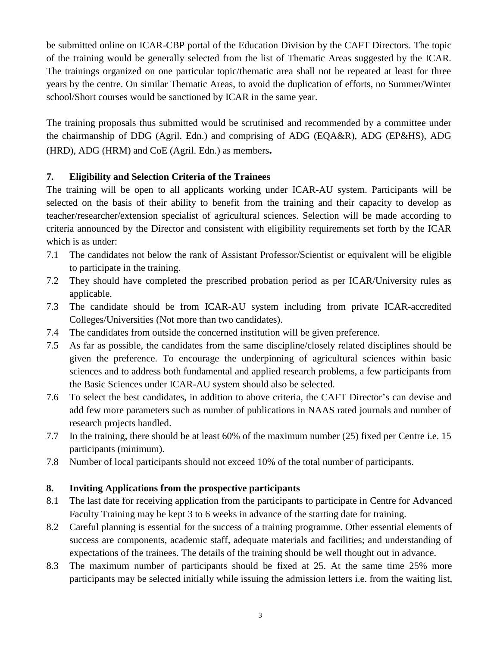be submitted online on ICAR-CBP portal of the Education Division by the CAFT Directors. The topic of the training would be generally selected from the list of Thematic Areas suggested by the ICAR. The trainings organized on one particular topic/thematic area shall not be repeated at least for three years by the centre. On similar Thematic Areas, to avoid the duplication of efforts, no Summer/Winter school/Short courses would be sanctioned by ICAR in the same year.

The training proposals thus submitted would be scrutinised and recommended by a committee under the chairmanship of DDG (Agril. Edn.) and comprising of ADG (EQA&R), ADG (EP&HS), ADG (HRD), ADG (HRM) and CoE (Agril. Edn.) as members**.** 

## **7. Eligibility and Selection Criteria of the Trainees**

The training will be open to all applicants working under ICAR-AU system. Participants will be selected on the basis of their ability to benefit from the training and their capacity to develop as teacher/researcher/extension specialist of agricultural sciences. Selection will be made according to criteria announced by the Director and consistent with eligibility requirements set forth by the ICAR which is as under:

- 7.1 The candidates not below the rank of Assistant Professor/Scientist or equivalent will be eligible to participate in the training.
- 7.2 They should have completed the prescribed probation period as per ICAR/University rules as applicable.
- 7.3 The candidate should be from ICAR-AU system including from private ICAR-accredited Colleges/Universities (Not more than two candidates).
- 7.4 The candidates from outside the concerned institution will be given preference.
- 7.5 As far as possible, the candidates from the same discipline/closely related disciplines should be given the preference. To encourage the underpinning of agricultural sciences within basic sciences and to address both fundamental and applied research problems, a few participants from the Basic Sciences under ICAR-AU system should also be selected.
- 7.6 To select the best candidates, in addition to above criteria, the CAFT Director's can devise and add few more parameters such as number of publications in NAAS rated journals and number of research projects handled.
- 7.7 In the training, there should be at least 60% of the maximum number (25) fixed per Centre i.e. 15 participants (minimum).
- 7.8 Number of local participants should not exceed 10% of the total number of participants.

#### **8. Inviting Applications from the prospective participants**

- 8.1 The last date for receiving application from the participants to participate in Centre for Advanced Faculty Training may be kept 3 to 6 weeks in advance of the starting date for training.
- 8.2 Careful planning is essential for the success of a training programme. Other essential elements of success are components, academic staff, adequate materials and facilities; and understanding of expectations of the trainees. The details of the training should be well thought out in advance.
- 8.3 The maximum number of participants should be fixed at 25. At the same time 25% more participants may be selected initially while issuing the admission letters i.e. from the waiting list,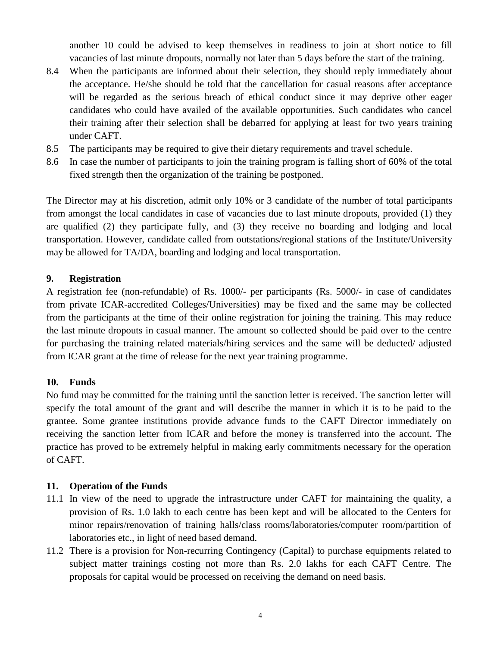another 10 could be advised to keep themselves in readiness to join at short notice to fill vacancies of last minute dropouts, normally not later than 5 days before the start of the training.

- 8.4 When the participants are informed about their selection, they should reply immediately about the acceptance. He/she should be told that the cancellation for casual reasons after acceptance will be regarded as the serious breach of ethical conduct since it may deprive other eager candidates who could have availed of the available opportunities. Such candidates who cancel their training after their selection shall be debarred for applying at least for two years training under CAFT.
- 8.5 The participants may be required to give their dietary requirements and travel schedule.
- 8.6 In case the number of participants to join the training program is falling short of 60% of the total fixed strength then the organization of the training be postponed.

The Director may at his discretion, admit only 10% or 3 candidate of the number of total participants from amongst the local candidates in case of vacancies due to last minute dropouts, provided (1) they are qualified (2) they participate fully, and (3) they receive no boarding and lodging and local transportation. However, candidate called from outstations/regional stations of the Institute/University may be allowed for TA/DA, boarding and lodging and local transportation.

#### **9. Registration**

A registration fee (non-refundable) of Rs. 1000/- per participants (Rs. 5000/- in case of candidates from private ICAR-accredited Colleges/Universities) may be fixed and the same may be collected from the participants at the time of their online registration for joining the training. This may reduce the last minute dropouts in casual manner. The amount so collected should be paid over to the centre for purchasing the training related materials/hiring services and the same will be deducted/ adjusted from ICAR grant at the time of release for the next year training programme.

#### **10. Funds**

No fund may be committed for the training until the sanction letter is received. The sanction letter will specify the total amount of the grant and will describe the manner in which it is to be paid to the grantee. Some grantee institutions provide advance funds to the CAFT Director immediately on receiving the sanction letter from ICAR and before the money is transferred into the account. The practice has proved to be extremely helpful in making early commitments necessary for the operation of CAFT.

#### **11. Operation of the Funds**

- 11.1 In view of the need to upgrade the infrastructure under CAFT for maintaining the quality, a provision of Rs. 1.0 lakh to each centre has been kept and will be allocated to the Centers for minor repairs/renovation of training halls/class rooms/laboratories/computer room/partition of laboratories etc., in light of need based demand.
- 11.2 There is a provision for Non-recurring Contingency (Capital) to purchase equipments related to subject matter trainings costing not more than Rs. 2.0 lakhs for each CAFT Centre. The proposals for capital would be processed on receiving the demand on need basis.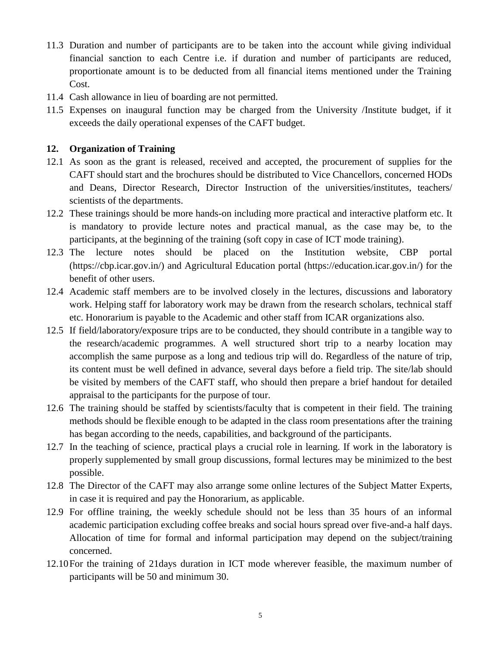- 11.3 Duration and number of participants are to be taken into the account while giving individual financial sanction to each Centre i.e. if duration and number of participants are reduced, proportionate amount is to be deducted from all financial items mentioned under the Training Cost.
- 11.4 Cash allowance in lieu of boarding are not permitted.
- 11.5 Expenses on inaugural function may be charged from the University /Institute budget, if it exceeds the daily operational expenses of the CAFT budget.

#### **12. Organization of Training**

- 12.1 As soon as the grant is released, received and accepted, the procurement of supplies for the CAFT should start and the brochures should be distributed to Vice Chancellors, concerned HODs and Deans, Director Research, Director Instruction of the universities/institutes, teachers/ scientists of the departments.
- 12.2 These trainings should be more hands-on including more practical and interactive platform etc. It is mandatory to provide lecture notes and practical manual, as the case may be, to the participants, at the beginning of the training (soft copy in case of ICT mode training).
- 12.3 The lecture notes should be placed on the Institution website, CBP portal (https://cbp.icar.gov.in/) and Agricultural Education portal (https://education.icar.gov.in/) for the benefit of other users.
- 12.4 Academic staff members are to be involved closely in the lectures, discussions and laboratory work. Helping staff for laboratory work may be drawn from the research scholars, technical staff etc. Honorarium is payable to the Academic and other staff from ICAR organizations also.
- 12.5 If field/laboratory**/**exposure trips are to be conducted, they should contribute in a tangible way to the research/academic programmes. A well structured short trip to a nearby location may accomplish the same purpose as a long and tedious trip will do. Regardless of the nature of trip, its content must be well defined in advance, several days before a field trip. The site/lab should be visited by members of the CAFT staff, who should then prepare a brief handout for detailed appraisal to the participants for the purpose of tour.
- 12.6 The training should be staffed by scientists/faculty that is competent in their field. The training methods should be flexible enough to be adapted in the class room presentations after the training has began according to the needs, capabilities, and background of the participants.
- 12.7 In the teaching of science, practical plays a crucial role in learning. If work in the laboratory is properly supplemented by small group discussions, formal lectures may be minimized to the best possible.
- 12.8 The Director of the CAFT may also arrange some online lectures of the Subject Matter Experts, in case it is required and pay the Honorarium, as applicable.
- 12.9 For offline training, the weekly schedule should not be less than 35 hours of an informal academic participation excluding coffee breaks and social hours spread over five-and-a half days. Allocation of time for formal and informal participation may depend on the subject/training concerned.
- 12.10For the training of 21days duration in ICT mode wherever feasible, the maximum number of participants will be 50 and minimum 30.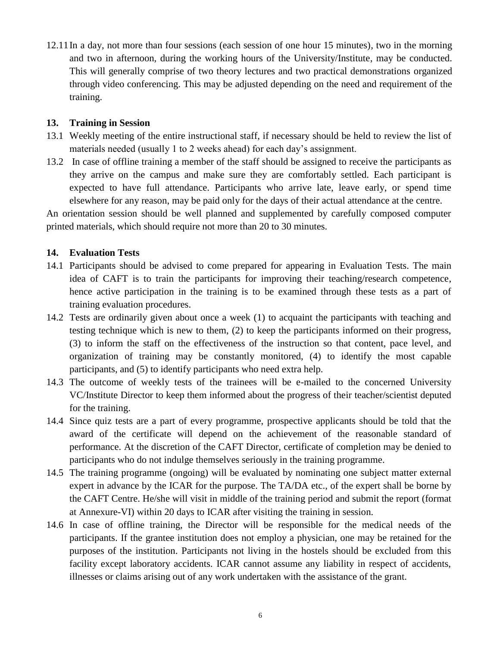12.11In a day, not more than four sessions (each session of one hour 15 minutes), two in the morning and two in afternoon, during the working hours of the University/Institute, may be conducted. This will generally comprise of two theory lectures and two practical demonstrations organized through video conferencing. This may be adjusted depending on the need and requirement of the training.

#### **13. Training in Session**

- 13.1 Weekly meeting of the entire instructional staff, if necessary should be held to review the list of materials needed (usually 1 to 2 weeks ahead) for each day's assignment.
- 13.2 In case of offline training a member of the staff should be assigned to receive the participants as they arrive on the campus and make sure they are comfortably settled. Each participant is expected to have full attendance. Participants who arrive late, leave early, or spend time elsewhere for any reason, may be paid only for the days of their actual attendance at the centre.

An orientation session should be well planned and supplemented by carefully composed computer printed materials, which should require not more than 20 to 30 minutes.

#### **14. Evaluation Tests**

- 14.1 Participants should be advised to come prepared for appearing in Evaluation Tests. The main idea of CAFT is to train the participants for improving their teaching/research competence, hence active participation in the training is to be examined through these tests as a part of training evaluation procedures.
- 14.2 Tests are ordinarily given about once a week (1) to acquaint the participants with teaching and testing technique which is new to them, (2) to keep the participants informed on their progress, (3) to inform the staff on the effectiveness of the instruction so that content, pace level, and organization of training may be constantly monitored, (4) to identify the most capable participants, and (5) to identify participants who need extra help.
- 14.3 The outcome of weekly tests of the trainees will be e-mailed to the concerned University VC/Institute Director to keep them informed about the progress of their teacher/scientist deputed for the training.
- 14.4 Since quiz tests are a part of every programme, prospective applicants should be told that the award of the certificate will depend on the achievement of the reasonable standard of performance. At the discretion of the CAFT Director, certificate of completion may be denied to participants who do not indulge themselves seriously in the training programme.
- 14.5 The training programme (ongoing) will be evaluated by nominating one subject matter external expert in advance by the ICAR for the purpose. The TA/DA etc., of the expert shall be borne by the CAFT Centre. He/she will visit in middle of the training period and submit the report (format at Annexure-VI) within 20 days to ICAR after visiting the training in session.
- 14.6 In case of offline training, the Director will be responsible for the medical needs of the participants. If the grantee institution does not employ a physician, one may be retained for the purposes of the institution. Participants not living in the hostels should be excluded from this facility except laboratory accidents. ICAR cannot assume any liability in respect of accidents, illnesses or claims arising out of any work undertaken with the assistance of the grant.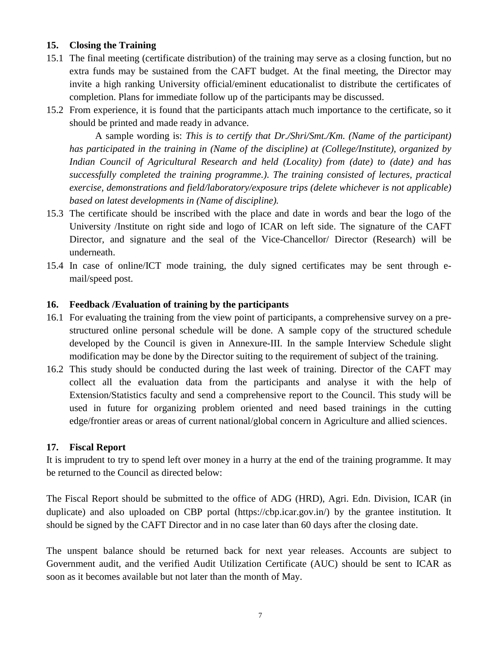#### **15. Closing the Training**

- 15.1 The final meeting (certificate distribution) of the training may serve as a closing function, but no extra funds may be sustained from the CAFT budget. At the final meeting, the Director may invite a high ranking University official/eminent educationalist to distribute the certificates of completion. Plans for immediate follow up of the participants may be discussed.
- 15.2 From experience, it is found that the participants attach much importance to the certificate, so it should be printed and made ready in advance.

A sample wording is: *This is to certify that Dr./Shri/Smt./Km. (Name of the participant) has participated in the training in (Name of the discipline) at (College/Institute), organized by Indian Council of Agricultural Research and held (Locality) from (date) to (date) and has successfully completed the training programme.). The training consisted of lectures, practical exercise, demonstrations and field/laboratory/exposure trips (delete whichever is not applicable) based on latest developments in (Name of discipline).*

- 15.3 The certificate should be inscribed with the place and date in words and bear the logo of the University /Institute on right side and logo of ICAR on left side. The signature of the CAFT Director, and signature and the seal of the Vice-Chancellor/ Director (Research) will be underneath.
- 15.4 In case of online/ICT mode training, the duly signed certificates may be sent through email/speed post.

#### **16. Feedback /Evaluation of training by the participants**

- 16.1 For evaluating the training from the view point of participants, a comprehensive survey on a prestructured online personal schedule will be done. A sample copy of the structured schedule developed by the Council is given in Annexure-III. In the sample Interview Schedule slight modification may be done by the Director suiting to the requirement of subject of the training.
- 16.2 This study should be conducted during the last week of training. Director of the CAFT may collect all the evaluation data from the participants and analyse it with the help of Extension/Statistics faculty and send a comprehensive report to the Council. This study will be used in future for organizing problem oriented and need based trainings in the cutting edge/frontier areas or areas of current national/global concern in Agriculture and allied sciences.

#### **17. Fiscal Report**

It is imprudent to try to spend left over money in a hurry at the end of the training programme. It may be returned to the Council as directed below:

The Fiscal Report should be submitted to the office of ADG (HRD), Agri. Edn. Division, ICAR (in duplicate) and also uploaded on CBP portal (https://cbp.icar.gov.in/) by the grantee institution. It should be signed by the CAFT Director and in no case later than 60 days after the closing date.

The unspent balance should be returned back for next year releases. Accounts are subject to Government audit, and the verified Audit Utilization Certificate (AUC) should be sent to ICAR as soon as it becomes available but not later than the month of May.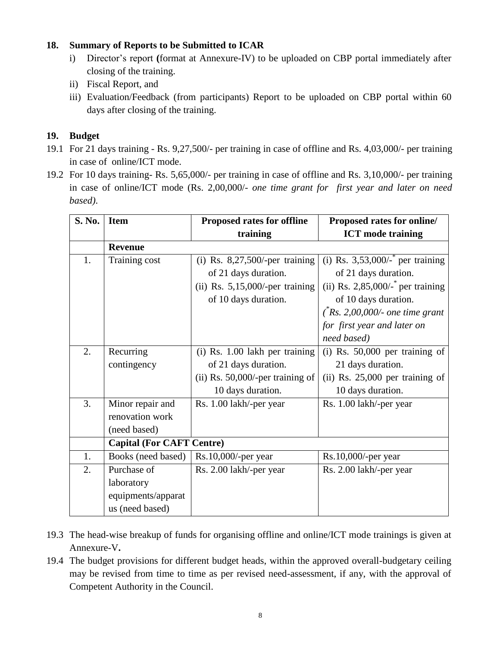#### **18. Summary of Reports to be Submitted to ICAR**

- i) Director's report **(**format at Annexure-IV) to be uploaded on CBP portal immediately after closing of the training.
- ii) Fiscal Report, and
- iii) Evaluation/Feedback (from participants) Report to be uploaded on CBP portal within 60 days after closing of the training.

## **19. Budget**

- 19.1 For 21 days training Rs. 9,27,500/- per training in case of offline and Rs. 4,03,000/- per training in case of online/ICT mode.
- 19.2 For 10 days training- Rs. 5,65,000/- per training in case of offline and Rs. 3,10,000/- per training in case of online/ICT mode (Rs. 2,00,000/- *one time grant for first year and later on need based)*.

| S. No. | <b>Item</b>                      | <b>Proposed rates for offline</b>   | Proposed rates for online/           |
|--------|----------------------------------|-------------------------------------|--------------------------------------|
|        |                                  | training                            | <b>ICT</b> mode training             |
|        | <b>Revenue</b>                   |                                     |                                      |
| 1.     | Training cost                    | (i) Rs. $8,27,500$ /-per training   | (i) Rs. $3,53,000/$ - per training   |
|        |                                  | of 21 days duration.                | of 21 days duration.                 |
|        |                                  | (ii) Rs. $5,15,000$ /-per training  | (ii) Rs. 2,85,000/- $*$ per training |
|        |                                  | of 10 days duration.                | of 10 days duration.                 |
|        |                                  |                                     | $(*Rs. 2,00,000/-$ one time grant    |
|        |                                  |                                     | for first year and later on          |
|        |                                  |                                     | need based)                          |
| 2.     | Recurring                        | (i) Rs. 1.00 lakh per training      | $(i)$ Rs. 50,000 per training of     |
|        | contingency                      | of 21 days duration.                | 21 days duration.                    |
|        |                                  | (ii) Rs. $50,000$ /-per training of | $(ii)$ Rs. 25,000 per training of    |
|        |                                  | 10 days duration.                   | 10 days duration.                    |
| 3.     | Minor repair and                 | Rs. 1.00 lakh/-per year             | Rs. 1.00 lakh/-per year              |
|        | renovation work                  |                                     |                                      |
|        | (need based)                     |                                     |                                      |
|        | <b>Capital (For CAFT Centre)</b> |                                     |                                      |
| 1.     | Books (need based)               | $Rs.10,000$ /-per year              | $Rs.10,000$ /-per year               |
| 2.     | Purchase of                      | Rs. 2.00 lakh/-per year             | Rs. 2.00 lakh/-per year              |
|        | laboratory                       |                                     |                                      |
|        | equipments/apparat               |                                     |                                      |
|        | us (need based)                  |                                     |                                      |

- 19.3 The head-wise breakup of funds for organising offline and online/ICT mode trainings is given at Annexure-V**.**
- 19.4 The budget provisions for different budget heads, within the approved overall-budgetary ceiling may be revised from time to time as per revised need-assessment, if any, with the approval of Competent Authority in the Council.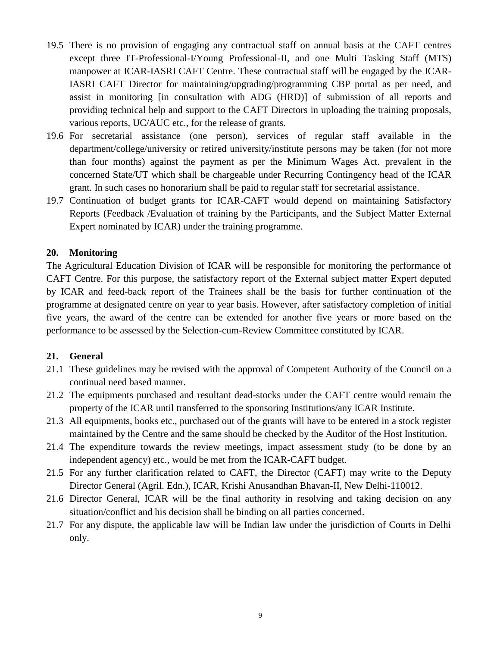- 19.5 There is no provision of engaging any contractual staff on annual basis at the CAFT centres except three IT-Professional-I/Young Professional-II, and one Multi Tasking Staff (MTS) manpower at ICAR-IASRI CAFT Centre. These contractual staff will be engaged by the ICAR-IASRI CAFT Director for maintaining/upgrading/programming CBP portal as per need, and assist in monitoring [in consultation with ADG (HRD)] of submission of all reports and providing technical help and support to the CAFT Directors in uploading the training proposals, various reports, UC/AUC etc., for the release of grants.
- 19.6 For secretarial assistance (one person), services of regular staff available in the department/college/university or retired university/institute persons may be taken (for not more than four months) against the payment as per the Minimum Wages Act. prevalent in the concerned State/UT which shall be chargeable under Recurring Contingency head of the ICAR grant. In such cases no honorarium shall be paid to regular staff for secretarial assistance.
- 19.7 Continuation of budget grants for ICAR-CAFT would depend on maintaining Satisfactory Reports (Feedback /Evaluation of training by the Participants, and the Subject Matter External Expert nominated by ICAR) under the training programme.

#### **20. Monitoring**

The Agricultural Education Division of ICAR will be responsible for monitoring the performance of CAFT Centre. For this purpose, the satisfactory report of the External subject matter Expert deputed by ICAR and feed-back report of the Trainees shall be the basis for further continuation of the programme at designated centre on year to year basis. However, after satisfactory completion of initial five years, the award of the centre can be extended for another five years or more based on the performance to be assessed by the Selection-cum-Review Committee constituted by ICAR.

#### **21. General**

- 21.1 These guidelines may be revised with the approval of Competent Authority of the Council on a continual need based manner.
- 21.2 The equipments purchased and resultant dead-stocks under the CAFT centre would remain the property of the ICAR until transferred to the sponsoring Institutions/any ICAR Institute.
- 21.3 All equipments, books etc., purchased out of the grants will have to be entered in a stock register maintained by the Centre and the same should be checked by the Auditor of the Host Institution.
- 21.4 The expenditure towards the review meetings, impact assessment study (to be done by an independent agency) etc., would be met from the ICAR-CAFT budget.
- 21.5 For any further clarification related to CAFT, the Director (CAFT) may write to the Deputy Director General (Agril. Edn.), ICAR, Krishi Anusandhan Bhavan-II, New Delhi-110012.
- 21.6 Director General, ICAR will be the final authority in resolving and taking decision on any situation/conflict and his decision shall be binding on all parties concerned.
- 21.7 For any dispute, the applicable law will be Indian law under the jurisdiction of Courts in Delhi only.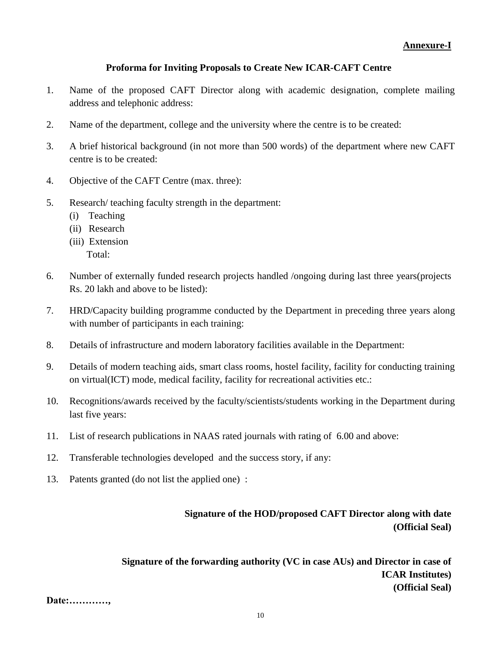#### **Proforma for Inviting Proposals to Create New ICAR-CAFT Centre**

- 1. Name of the proposed CAFT Director along with academic designation, complete mailing address and telephonic address:
- 2. Name of the department, college and the university where the centre is to be created:
- 3. A brief historical background (in not more than 500 words) of the department where new CAFT centre is to be created:
- 4. Objective of the CAFT Centre (max. three):
- 5. Research/ teaching faculty strength in the department:
	- (i) Teaching
	- (ii) Research
	- (iii) Extension
		- Total:
- 6. Number of externally funded research projects handled /ongoing during last three years(projects Rs. 20 lakh and above to be listed):
- 7. HRD/Capacity building programme conducted by the Department in preceding three years along with number of participants in each training:
- 8. Details of infrastructure and modern laboratory facilities available in the Department:
- 9. Details of modern teaching aids, smart class rooms, hostel facility, facility for conducting training on virtual(ICT) mode, medical facility, facility for recreational activities etc.:
- 10. Recognitions/awards received by the faculty/scientists/students working in the Department during last five years:
- 11. List of research publications in NAAS rated journals with rating of 6.00 and above:
- 12. Transferable technologies developed and the success story, if any:
- 13. Patents granted (do not list the applied one) :

## **Signature of the HOD/proposed CAFT Director along with date (Official Seal)**

**Signature of the forwarding authority (VC in case AUs) and Director in case of ICAR Institutes) (Official Seal)** 

```
Date:…………,
```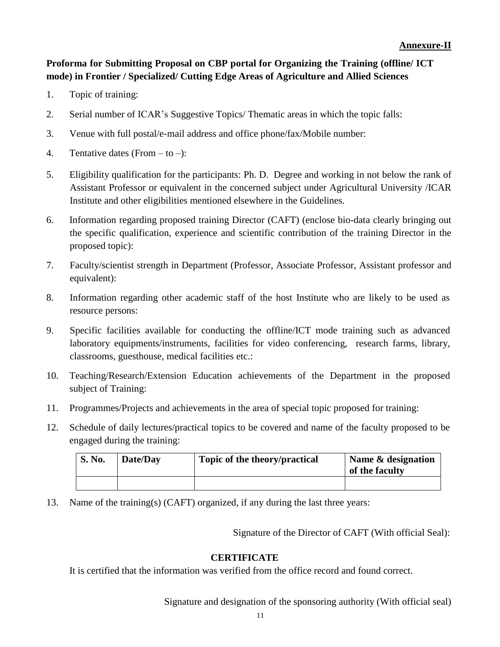## **Proforma for Submitting Proposal on CBP portal for Organizing the Training (offline/ ICT mode) in Frontier / Specialized/ Cutting Edge Areas of Agriculture and Allied Sciences**

- 1. Topic of training:
- 2. Serial number of ICAR's Suggestive Topics/ Thematic areas in which the topic falls:
- 3. Venue with full postal/e-mail address and office phone/fax/Mobile number:
- 4. Tentative dates (From  $-$  to  $-$ ):
- 5. Eligibility qualification for the participants: Ph. D. Degree and working in not below the rank of Assistant Professor or equivalent in the concerned subject under Agricultural University /ICAR Institute and other eligibilities mentioned elsewhere in the Guidelines.
- 6. Information regarding proposed training Director (CAFT) (enclose bio-data clearly bringing out the specific qualification, experience and scientific contribution of the training Director in the proposed topic):
- 7. Faculty/scientist strength in Department (Professor, Associate Professor, Assistant professor and equivalent):
- 8. Information regarding other academic staff of the host Institute who are likely to be used as resource persons:
- 9. Specific facilities available for conducting the offline/ICT mode training such as advanced laboratory equipments/instruments, facilities for video conferencing, research farms, library, classrooms, guesthouse, medical facilities etc.:
- 10. Teaching/Research/Extension Education achievements of the Department in the proposed subject of Training:
- 11. Programmes/Projects and achievements in the area of special topic proposed for training:
- 12. Schedule of daily lectures/practical topics to be covered and name of the faculty proposed to be engaged during the training:

| <b>S. No.</b> | Date/Day | Topic of the theory/practical | Name & designation<br>of the faculty |
|---------------|----------|-------------------------------|--------------------------------------|
|               |          |                               |                                      |

13. Name of the training(s) (CAFT) organized, if any during the last three years:

Signature of the Director of CAFT (With official Seal):

#### **CERTIFICATE**

It is certified that the information was verified from the office record and found correct.

Signature and designation of the sponsoring authority (With official seal)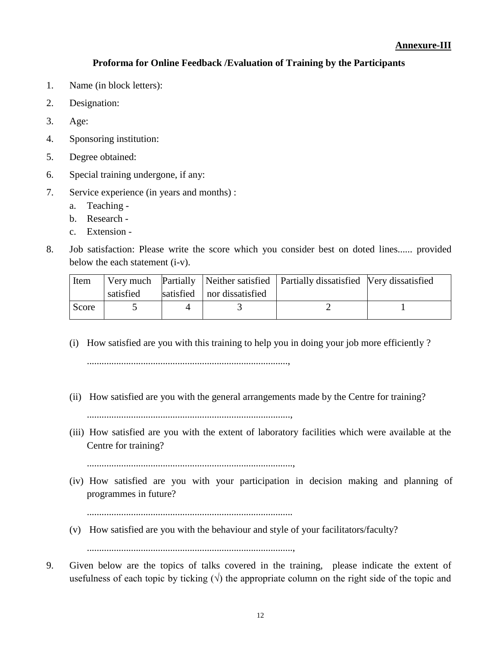#### **Annexure-III**

#### **Proforma for Online Feedback /Evaluation of Training by the Participants**

- 1. Name (in block letters):
- 2. Designation:
- 3. Age:
- 4. Sponsoring institution:
- 5. Degree obtained:
- 6. Special training undergone, if any:
- 7. Service experience (in years and months) :
	- a. Teaching -
	- b. Research -
	- c. Extension -
- 8. Job satisfaction: Please write the score which you consider best on doted lines...... provided below the each statement (i-v).

| Item  |           |                              | Very much Partially   Neither satisfied   Partially dissatisfied   Very dissatisfied |  |
|-------|-----------|------------------------------|--------------------------------------------------------------------------------------|--|
|       | satisfied | satisfied   nor dissatisfied |                                                                                      |  |
| Score |           |                              |                                                                                      |  |

- (i) How satisfied are you with this training to help you in doing your job more efficiently ? ..................................................................................,
- (ii) How satisfied are you with the general arrangements made by the Centre for training? ...................................................................................,
- (iii) How satisfied are you with the extent of laboratory facilities which were available at the Centre for training?

....................................................................................,

(iv) How satisfied are you with your participation in decision making and planning of programmes in future?

....................................................................................

(v) How satisfied are you with the behaviour and style of your facilitators/faculty?

....................................................................................,

9. Given below are the topics of talks covered in the training, please indicate the extent of usefulness of each topic by ticking  $(\forall)$  the appropriate column on the right side of the topic and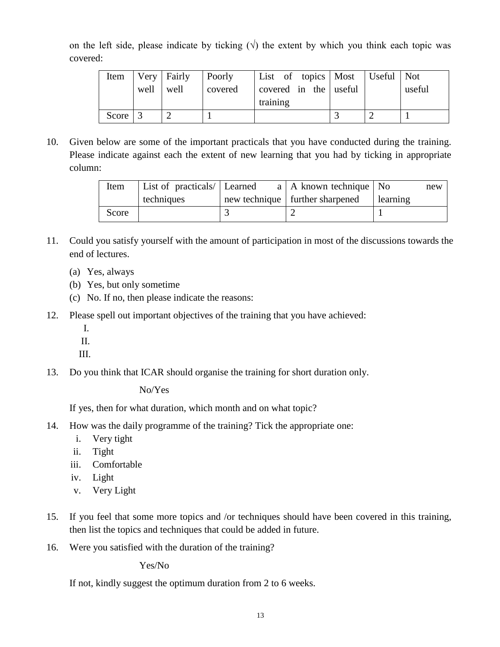on the left side, please indicate by ticking  $(\sqrt{2})$  the extent by which you think each topic was covered:

| Item                  |           | Very Fairly | Poorly  | List of topics   Most   Useful   Not |  |        |
|-----------------------|-----------|-------------|---------|--------------------------------------|--|--------|
|                       | well well |             | covered | covered in the useful                |  | useful |
|                       |           |             |         | training                             |  |        |
| Score $\vert 3 \vert$ |           |             |         |                                      |  |        |

10. Given below are some of the important practicals that you have conducted during the training. Please indicate against each the extent of new learning that you had by ticking in appropriate column:

| Item  | List of practicals/ Learned | a   A known technique   No        | new        |
|-------|-----------------------------|-----------------------------------|------------|
|       | techniques                  | new technique   further sharpened | l learning |
| Score |                             |                                   |            |

- 11. Could you satisfy yourself with the amount of participation in most of the discussions towards the end of lectures.
	- (a) Yes, always
	- (b) Yes, but only sometime
	- (c) No. If no, then please indicate the reasons:
- 12. Please spell out important objectives of the training that you have achieved:
	- I.
	- II.
	- III.
- 13. Do you think that ICAR should organise the training for short duration only.

No/Yes

If yes, then for what duration, which month and on what topic?

- 14. How was the daily programme of the training? Tick the appropriate one:
	- i. Very tight
	- ii. Tight
	- iii. Comfortable
	- iv. Light
	- v. Very Light
- 15. If you feel that some more topics and /or techniques should have been covered in this training, then list the topics and techniques that could be added in future.
- 16. Were you satisfied with the duration of the training?

Yes/No

If not, kindly suggest the optimum duration from 2 to 6 weeks.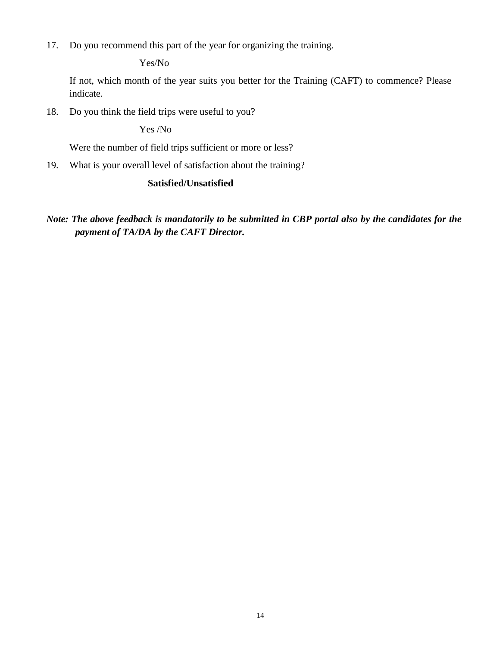17. Do you recommend this part of the year for organizing the training.

Yes/No

If not, which month of the year suits you better for the Training (CAFT) to commence? Please indicate.

18. Do you think the field trips were useful to you?

Yes /No

Were the number of field trips sufficient or more or less?

19. What is your overall level of satisfaction about the training?

#### **Satisfied/Unsatisfied**

*Note: The above feedback is mandatorily to be submitted in CBP portal also by the candidates for the payment of TA/DA by the CAFT Director.*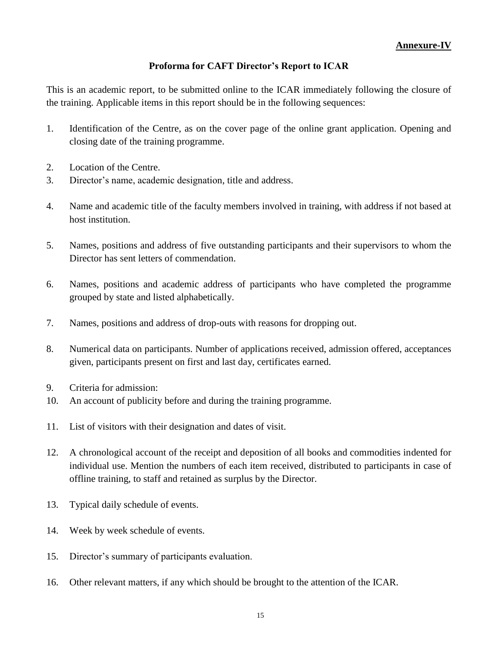#### **Annexure-IV**

#### **Proforma for CAFT Director's Report to ICAR**

This is an academic report, to be submitted online to the ICAR immediately following the closure of the training. Applicable items in this report should be in the following sequences:

- 1. Identification of the Centre, as on the cover page of the online grant application. Opening and closing date of the training programme.
- 2. Location of the Centre.
- 3. Director's name, academic designation, title and address.
- 4. Name and academic title of the faculty members involved in training, with address if not based at host institution.
- 5. Names, positions and address of five outstanding participants and their supervisors to whom the Director has sent letters of commendation.
- 6. Names, positions and academic address of participants who have completed the programme grouped by state and listed alphabetically.
- 7. Names, positions and address of drop-outs with reasons for dropping out.
- 8. Numerical data on participants. Number of applications received, admission offered, acceptances given, participants present on first and last day, certificates earned.
- 9. Criteria for admission:
- 10. An account of publicity before and during the training programme.
- 11. List of visitors with their designation and dates of visit.
- 12. A chronological account of the receipt and deposition of all books and commodities indented for individual use. Mention the numbers of each item received, distributed to participants in case of offline training, to staff and retained as surplus by the Director.
- 13. Typical daily schedule of events.
- 14. Week by week schedule of events.
- 15. Director's summary of participants evaluation.
- 16. Other relevant matters, if any which should be brought to the attention of the ICAR.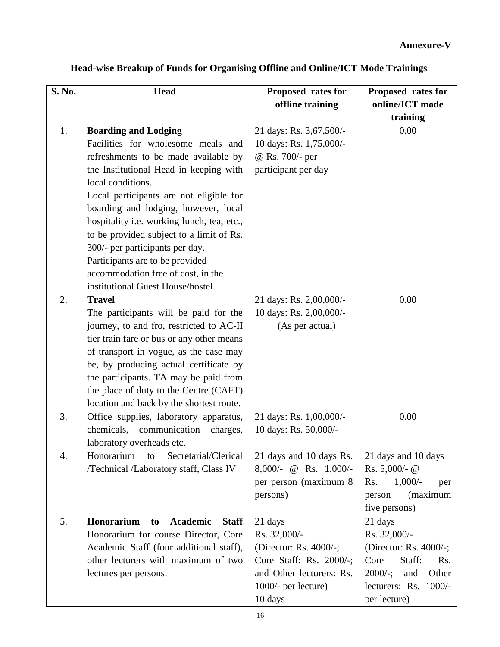| S. No.           | <b>Head</b>                                         | Proposed rates for       | Proposed rates for        |
|------------------|-----------------------------------------------------|--------------------------|---------------------------|
|                  |                                                     | offline training         | online/ICT mode           |
|                  |                                                     |                          | training                  |
| 1.               | <b>Boarding and Lodging</b>                         | 21 days: Rs. 3,67,500/-  | 0.00                      |
|                  | Facilities for wholesome meals and                  | 10 days: Rs. 1,75,000/-  |                           |
|                  | refreshments to be made available by                | @ Rs. 700/- per          |                           |
|                  | the Institutional Head in keeping with              | participant per day      |                           |
|                  | local conditions.                                   |                          |                           |
|                  | Local participants are not eligible for             |                          |                           |
|                  | boarding and lodging, however, local                |                          |                           |
|                  | hospitality i.e. working lunch, tea, etc.,          |                          |                           |
|                  | to be provided subject to a limit of Rs.            |                          |                           |
|                  | 300/- per participants per day.                     |                          |                           |
|                  | Participants are to be provided                     |                          |                           |
|                  | accommodation free of cost, in the                  |                          |                           |
|                  | institutional Guest House/hostel.                   |                          |                           |
| $\overline{2}$ . | <b>Travel</b>                                       | 21 days: Rs. 2,00,000/-  | 0.00                      |
|                  | The participants will be paid for the               | 10 days: Rs. 2,00,000/-  |                           |
|                  | journey, to and fro, restricted to AC-II            | (As per actual)          |                           |
|                  | tier train fare or bus or any other means           |                          |                           |
|                  | of transport in vogue, as the case may              |                          |                           |
|                  | be, by producing actual certificate by              |                          |                           |
|                  | the participants. TA may be paid from               |                          |                           |
|                  | the place of duty to the Centre (CAFT)              |                          |                           |
|                  | location and back by the shortest route.            |                          |                           |
| 3.               | Office supplies, laboratory apparatus,              | 21 days: Rs. 1,00,000/-  | 0.00                      |
|                  | chemicals,<br>communication<br>charges,             | 10 days: Rs. 50,000/-    |                           |
|                  | laboratory overheads etc.                           |                          |                           |
| 4.               | Honorarium<br>Secretarial/Clerical<br>to            | 21 days and 10 days Rs.  | 21 days and 10 days       |
|                  | /Technical /Laboratory staff, Class IV              | $8,000/-$ @ Rs. 1,000/-  | Rs. $5,000$ /- @          |
|                  |                                                     | per person (maximum 8)   | $1,000/-$<br>Rs.<br>per   |
|                  |                                                     | persons)                 | (maximum<br>person        |
|                  |                                                     |                          | five persons)             |
| 5.               | Honorarium<br><b>Academic</b><br><b>Staff</b><br>to | 21 days                  | 21 days                   |
|                  | Honorarium for course Director, Core                | Rs. 32,000/-             | Rs. 32,000/-              |
|                  | Academic Staff (four additional staff),             | (Director: Rs. 4000/-;   | (Director: Rs. 4000/-;    |
|                  | other lecturers with maximum of two                 | Core Staff: Rs. 2000/-;  | Staff:<br>Core<br>Rs.     |
|                  | lectures per persons.                               | and Other lecturers: Rs. | $2000/-;$<br>Other<br>and |
|                  |                                                     | 1000/- per lecture)      | lecturers: Rs. 1000/-     |
|                  |                                                     | 10 days                  | per lecture)              |

## **Head-wise Breakup of Funds for Organising Offline and Online/ICT Mode Trainings**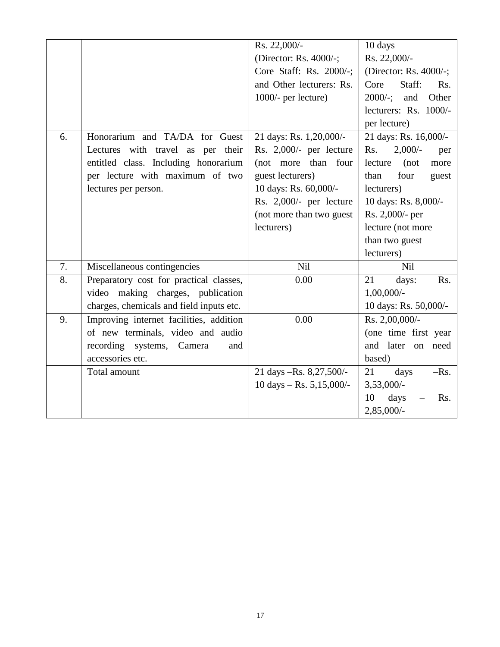|    |                                          | Rs. 22,000/-               | 10 days                            |
|----|------------------------------------------|----------------------------|------------------------------------|
|    |                                          | (Director: Rs. 4000/-;     | Rs. 22,000/-                       |
|    |                                          | Core Staff: Rs. 2000/-;    | (Director: Rs. 4000/-;             |
|    |                                          | and Other lecturers: Rs.   | Core<br>Staff:<br>R <sub>s</sub> . |
|    |                                          | 1000/- per lecture)        | $2000/-$ ; and<br>Other            |
|    |                                          |                            | lecturers: Rs. 1000/-              |
|    |                                          |                            | per lecture)                       |
| 6. | Honorarium and TA/DA for Guest           | 21 days: Rs. 1,20,000/-    | 21 days: Rs. 16,000/-              |
|    | Lectures with travel as per their        | Rs. 2,000/- per lecture    | $2,000/-$<br>Rs.<br>per            |
|    | entitled class. Including honorarium     | (not more than four        | lecture<br>(not)<br>more           |
|    | per lecture with maximum of two          | guest lecturers)           | four<br>than<br>guest              |
|    | lectures per person.                     | 10 days: Rs. 60,000/-      | lecturers)                         |
|    |                                          | Rs. 2,000/- per lecture    | 10 days: Rs. 8,000/-               |
|    |                                          | (not more than two guest   | Rs. 2,000/- per                    |
|    |                                          | lecturers)                 | lecture (not more                  |
|    |                                          |                            | than two guest                     |
|    |                                          |                            | lecturers)                         |
| 7. | Miscellaneous contingencies              | Nil                        | Nil                                |
| 8. | Preparatory cost for practical classes,  | 0.00                       | 21<br>days:<br>Rs.                 |
|    | video making charges, publication        |                            | $1,00,000/$ -                      |
|    | charges, chemicals and field inputs etc. |                            | 10 days: Rs. 50,000/-              |
| 9. | Improving internet facilities, addition  | 0.00                       | Rs. 2,00,000/-                     |
|    | of new terminals, video and audio        |                            | (one time first year               |
|    | recording systems, Camera<br>and         |                            | and later on need                  |
|    | accessories etc.                         |                            | based)                             |
|    | Total amount                             | 21 days -Rs. 8,27,500/-    | 21<br>$-Rs.$<br>days               |
|    |                                          | 10 days $-$ Rs. 5,15,000/- | 3,53,000/-                         |
|    |                                          |                            | 10<br>days<br>Rs.                  |
|    |                                          |                            | 2,85,000/-                         |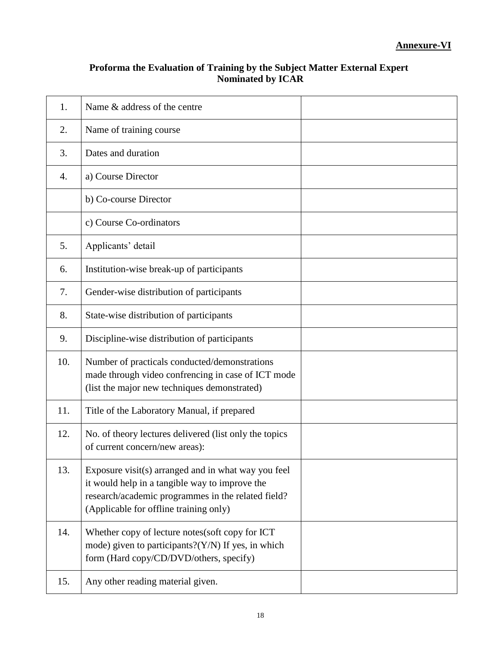| Proforma the Evaluation of Training by the Subject Matter External Expert |
|---------------------------------------------------------------------------|
| <b>Nominated by ICAR</b>                                                  |

| 1.               | Name & address of the centre                                                                                                                                                                          |  |
|------------------|-------------------------------------------------------------------------------------------------------------------------------------------------------------------------------------------------------|--|
| 2.               | Name of training course                                                                                                                                                                               |  |
| 3.               | Dates and duration                                                                                                                                                                                    |  |
| $\overline{4}$ . | a) Course Director                                                                                                                                                                                    |  |
|                  | b) Co-course Director                                                                                                                                                                                 |  |
|                  | c) Course Co-ordinators                                                                                                                                                                               |  |
| 5.               | Applicants' detail                                                                                                                                                                                    |  |
| 6.               | Institution-wise break-up of participants                                                                                                                                                             |  |
| 7.               | Gender-wise distribution of participants                                                                                                                                                              |  |
| 8.               | State-wise distribution of participants                                                                                                                                                               |  |
| 9.               | Discipline-wise distribution of participants                                                                                                                                                          |  |
| 10.              | Number of practicals conducted/demonstrations<br>made through video confrencing in case of ICT mode<br>(list the major new techniques demonstrated)                                                   |  |
| 11.              | Title of the Laboratory Manual, if prepared                                                                                                                                                           |  |
| 12.              | No. of theory lectures delivered (list only the topics<br>of current concern/new areas):                                                                                                              |  |
| 13.              | Exposure visit(s) arranged and in what way you feel<br>it would help in a tangible way to improve the<br>research/academic programmes in the related field?<br>(Applicable for offline training only) |  |
| 14.              | Whether copy of lecture notes(soft copy for ICT<br>mode) given to participants? $(Y/N)$ If yes, in which<br>form (Hard copy/CD/DVD/others, specify)                                                   |  |
| 15.              | Any other reading material given.                                                                                                                                                                     |  |